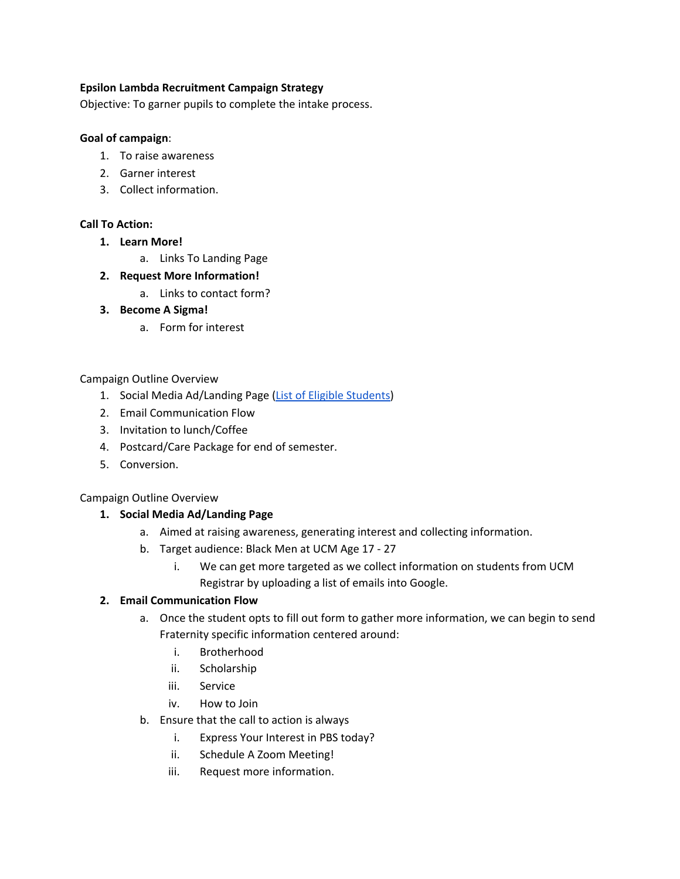#### **Epsilon Lambda Recruitment Campaign Strategy**

Objective: To garner pupils to complete the intake process.

#### **Goal of campaign**:

- 1. To raise awareness
- 2. Garner interest
- 3. Collect information.

#### **Call To Action:**

- **1. Learn More!**
	- a. Links To Landing Page
- **2. Request More Information!**
	- a. Links to contact form?
- **3. Become A Sigma!**
	- a. Form for interest

#### Campaign Outline Overview

- 1. Social Media Ad/Landing Page (List of Eligible [Students\)](https://docs.google.com/spreadsheets/d/1XoD1jriiqzuR3YXh_ntr6tHuvWLotGGZ/edit#gid=792967275)
- 2. Email Communication Flow
- 3. Invitation to lunch/Coffee
- 4. Postcard/Care Package for end of semester.
- 5. Conversion.

#### Campaign Outline Overview

#### **1. Social Media Ad/Landing Page**

- a. Aimed at raising awareness, generating interest and collecting information.
- b. Target audience: Black Men at UCM Age 17 27
	- i. We can get more targeted as we collect information on students from UCM Registrar by uploading a list of emails into Google.

#### **2. Email Communication Flow**

- a. Once the student opts to fill out form to gather more information, we can begin to send Fraternity specific information centered around:
	- i. Brotherhood
	- ii. Scholarship
	- iii. Service
	- iv. How to Join
- b. Ensure that the call to action is always
	- i. Express Your Interest in PBS today?
	- ii. Schedule A Zoom Meeting!
	- iii. Request more information.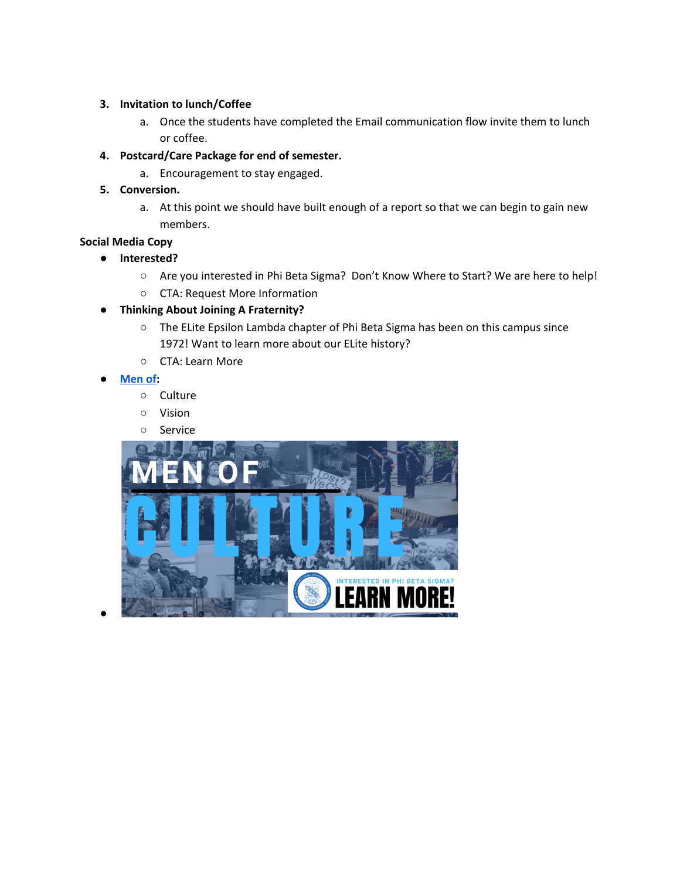#### **3. Invitation to lunch/Coffee**

- a. Once the students have completed the Email communication flow invite them to lunch or coffee.
- **4. Postcard/Care Package for end of semester.**
	- a. Encouragement to stay engaged.
- **5. Conversion.**
	- a. At this point we should have built enough of a report so that we can begin to gain new members.

#### **Social Media Copy**

- **● Interested?**
	- Are you interested in Phi Beta Sigma? Don't Know Where to Start? We are here to help!
	- CTA: Request More Information
- **● Thinking About Joining A Fraternity?**
	- The ELite Epsilon Lambda chapter of Phi Beta Sigma has been on this campus since 1972! Want to learn more about our ELite history?
	- CTA: Learn More
- **● [Men](https://www.canva.com/design/DAEWgfjsNkY/UvFLvdK2wjxhYi1jK10Diw/edit?category=tACZCoDePIo) of:**

●

- Culture
- Vision
- Service

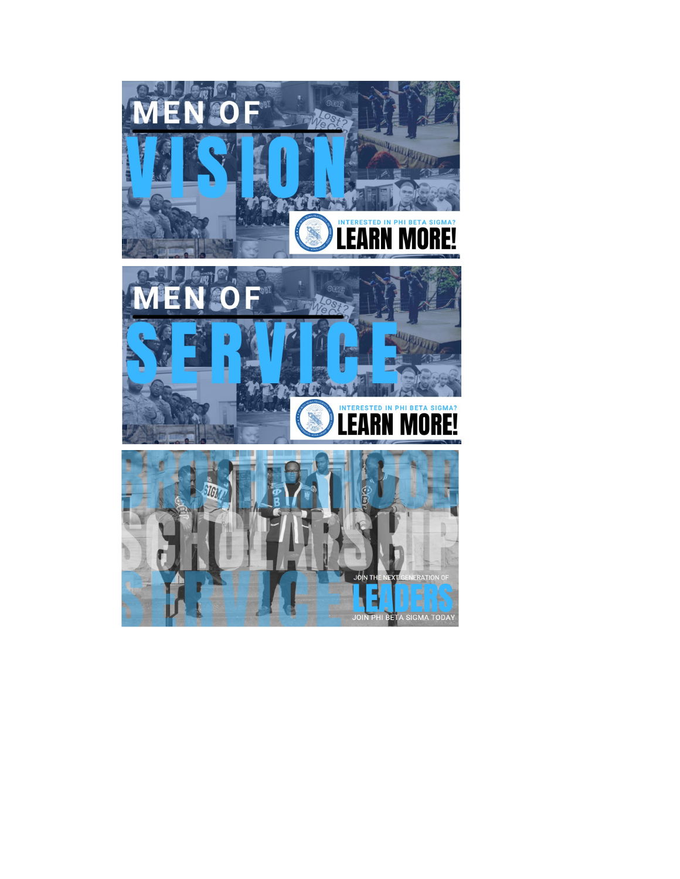